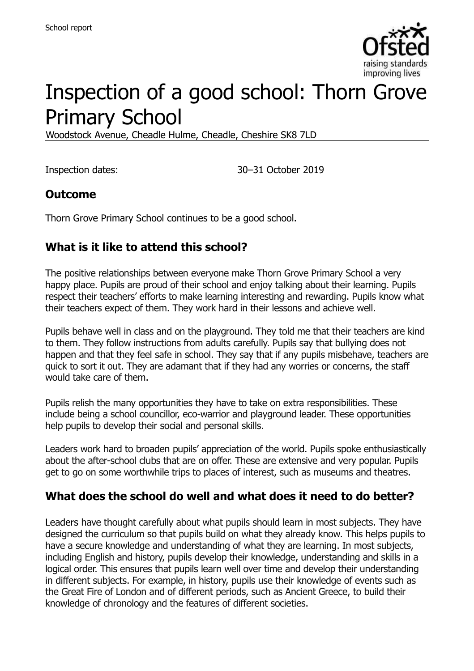

# Inspection of a good school: Thorn Grove Primary School

Woodstock Avenue, Cheadle Hulme, Cheadle, Cheshire SK8 7LD

Inspection dates: 30–31 October 2019

#### **Outcome**

Thorn Grove Primary School continues to be a good school.

#### **What is it like to attend this school?**

The positive relationships between everyone make Thorn Grove Primary School a very happy place. Pupils are proud of their school and enjoy talking about their learning. Pupils respect their teachers' efforts to make learning interesting and rewarding. Pupils know what their teachers expect of them. They work hard in their lessons and achieve well.

Pupils behave well in class and on the playground. They told me that their teachers are kind to them. They follow instructions from adults carefully. Pupils say that bullying does not happen and that they feel safe in school. They say that if any pupils misbehave, teachers are quick to sort it out. They are adamant that if they had any worries or concerns, the staff would take care of them.

Pupils relish the many opportunities they have to take on extra responsibilities. These include being a school councillor, eco-warrior and playground leader. These opportunities help pupils to develop their social and personal skills.

Leaders work hard to broaden pupils' appreciation of the world. Pupils spoke enthusiastically about the after-school clubs that are on offer. These are extensive and very popular. Pupils get to go on some worthwhile trips to places of interest, such as museums and theatres.

#### **What does the school do well and what does it need to do better?**

Leaders have thought carefully about what pupils should learn in most subjects. They have designed the curriculum so that pupils build on what they already know. This helps pupils to have a secure knowledge and understanding of what they are learning. In most subjects, including English and history, pupils develop their knowledge, understanding and skills in a logical order. This ensures that pupils learn well over time and develop their understanding in different subjects. For example, in history, pupils use their knowledge of events such as the Great Fire of London and of different periods, such as Ancient Greece, to build their knowledge of chronology and the features of different societies.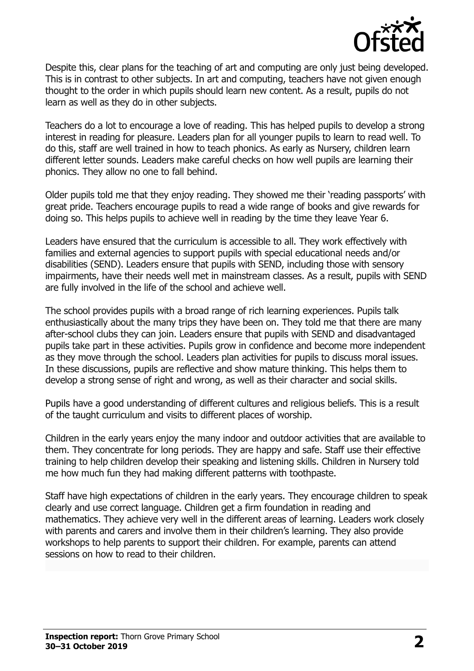

Despite this, clear plans for the teaching of art and computing are only just being developed. This is in contrast to other subjects. In art and computing, teachers have not given enough thought to the order in which pupils should learn new content. As a result, pupils do not learn as well as they do in other subjects.

Teachers do a lot to encourage a love of reading. This has helped pupils to develop a strong interest in reading for pleasure. Leaders plan for all younger pupils to learn to read well. To do this, staff are well trained in how to teach phonics. As early as Nursery, children learn different letter sounds. Leaders make careful checks on how well pupils are learning their phonics. They allow no one to fall behind.

Older pupils told me that they enjoy reading. They showed me their 'reading passports' with great pride. Teachers encourage pupils to read a wide range of books and give rewards for doing so. This helps pupils to achieve well in reading by the time they leave Year 6.

Leaders have ensured that the curriculum is accessible to all. They work effectively with families and external agencies to support pupils with special educational needs and/or disabilities (SEND). Leaders ensure that pupils with SEND, including those with sensory impairments, have their needs well met in mainstream classes. As a result, pupils with SEND are fully involved in the life of the school and achieve well.

The school provides pupils with a broad range of rich learning experiences. Pupils talk enthusiastically about the many trips they have been on. They told me that there are many after-school clubs they can join. Leaders ensure that pupils with SEND and disadvantaged pupils take part in these activities. Pupils grow in confidence and become more independent as they move through the school. Leaders plan activities for pupils to discuss moral issues. In these discussions, pupils are reflective and show mature thinking. This helps them to develop a strong sense of right and wrong, as well as their character and social skills.

Pupils have a good understanding of different cultures and religious beliefs. This is a result of the taught curriculum and visits to different places of worship.

Children in the early years enjoy the many indoor and outdoor activities that are available to them. They concentrate for long periods. They are happy and safe. Staff use their effective training to help children develop their speaking and listening skills. Children in Nursery told me how much fun they had making different patterns with toothpaste.

Staff have high expectations of children in the early years. They encourage children to speak clearly and use correct language. Children get a firm foundation in reading and mathematics. They achieve very well in the different areas of learning. Leaders work closely with parents and carers and involve them in their children's learning. They also provide workshops to help parents to support their children. For example, parents can attend sessions on how to read to their children.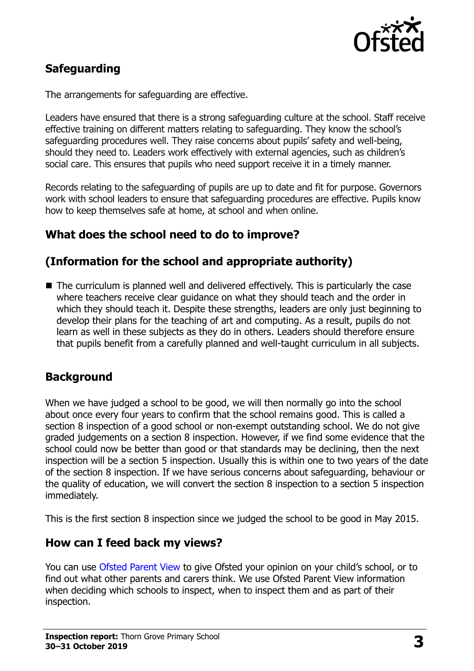

# **Safeguarding**

The arrangements for safeguarding are effective.

Leaders have ensured that there is a strong safeguarding culture at the school. Staff receive effective training on different matters relating to safeguarding. They know the school's safeguarding procedures well. They raise concerns about pupils' safety and well-being, should they need to. Leaders work effectively with external agencies, such as children's social care. This ensures that pupils who need support receive it in a timely manner.

Records relating to the safeguarding of pupils are up to date and fit for purpose. Governors work with school leaders to ensure that safeguarding procedures are effective. Pupils know how to keep themselves safe at home, at school and when online.

# **What does the school need to do to improve?**

#### **(Information for the school and appropriate authority)**

■ The curriculum is planned well and delivered effectively. This is particularly the case where teachers receive clear guidance on what they should teach and the order in which they should teach it. Despite these strengths, leaders are only just beginning to develop their plans for the teaching of art and computing. As a result, pupils do not learn as well in these subjects as they do in others. Leaders should therefore ensure that pupils benefit from a carefully planned and well-taught curriculum in all subjects.

# **Background**

When we have judged a school to be good, we will then normally go into the school about once every four years to confirm that the school remains good. This is called a section 8 inspection of a good school or non-exempt outstanding school. We do not give graded judgements on a section 8 inspection. However, if we find some evidence that the school could now be better than good or that standards may be declining, then the next inspection will be a section 5 inspection. Usually this is within one to two years of the date of the section 8 inspection. If we have serious concerns about safeguarding, behaviour or the quality of education, we will convert the section 8 inspection to a section 5 inspection immediately.

This is the first section 8 inspection since we judged the school to be good in May 2015.

#### **How can I feed back my views?**

You can use [Ofsted Parent View](https://parentview.ofsted.gov.uk/) to give Ofsted your opinion on your child's school, or to find out what other parents and carers think. We use Ofsted Parent View information when deciding which schools to inspect, when to inspect them and as part of their inspection.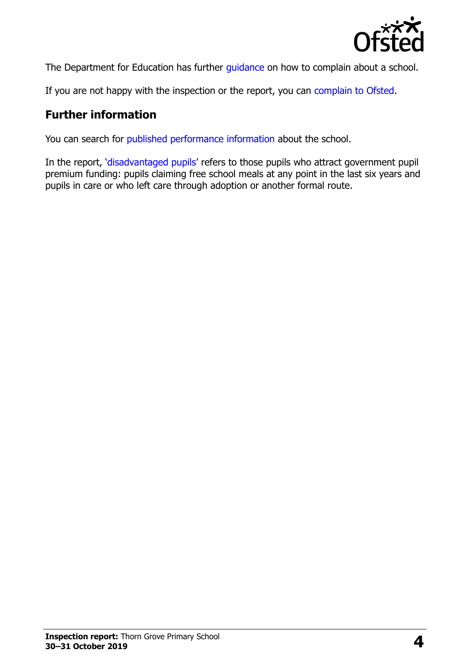

The Department for Education has further quidance on how to complain about a school.

If you are not happy with the inspection or the report, you can [complain to Ofsted.](https://www.gov.uk/complain-ofsted-report)

#### **Further information**

You can search for [published performance information](http://www.compare-school-performance.service.gov.uk/) about the school.

In the report, '[disadvantaged pupils](http://www.gov.uk/guidance/pupil-premium-information-for-schools-and-alternative-provision-settings)' refers to those pupils who attract government pupil premium funding: pupils claiming free school meals at any point in the last six years and pupils in care or who left care through adoption or another formal route.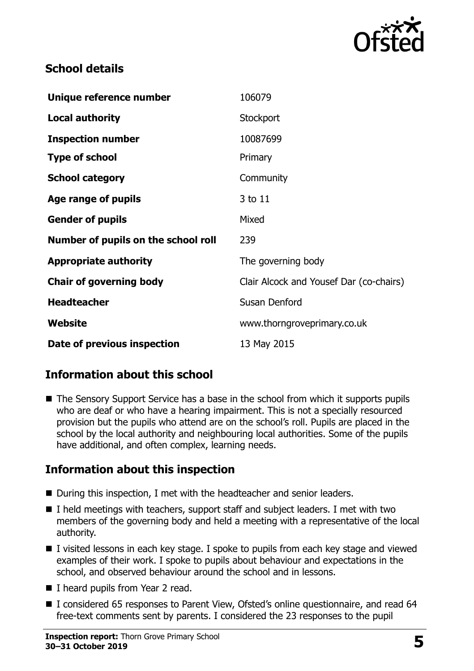

#### **School details**

| Unique reference number             | 106079                                  |
|-------------------------------------|-----------------------------------------|
| <b>Local authority</b>              | Stockport                               |
| <b>Inspection number</b>            | 10087699                                |
| <b>Type of school</b>               | Primary                                 |
| <b>School category</b>              | Community                               |
| Age range of pupils                 | 3 to 11                                 |
| <b>Gender of pupils</b>             | Mixed                                   |
| Number of pupils on the school roll | 239                                     |
| <b>Appropriate authority</b>        | The governing body                      |
| <b>Chair of governing body</b>      | Clair Alcock and Yousef Dar (co-chairs) |
| <b>Headteacher</b>                  | Susan Denford                           |
| Website                             | www.thorngroveprimary.co.uk             |
| Date of previous inspection         | 13 May 2015                             |

# **Information about this school**

■ The Sensory Support Service has a base in the school from which it supports pupils who are deaf or who have a hearing impairment. This is not a specially resourced provision but the pupils who attend are on the school's roll. Pupils are placed in the school by the local authority and neighbouring local authorities. Some of the pupils have additional, and often complex, learning needs.

# **Information about this inspection**

- During this inspection, I met with the headteacher and senior leaders.
- $\blacksquare$  I held meetings with teachers, support staff and subject leaders. I met with two members of the governing body and held a meeting with a representative of the local authority.
- I visited lessons in each key stage. I spoke to pupils from each key stage and viewed examples of their work. I spoke to pupils about behaviour and expectations in the school, and observed behaviour around the school and in lessons.
- I heard pupils from Year 2 read.
- I considered 65 responses to Parent View, Ofsted's online questionnaire, and read 64 free-text comments sent by parents. I considered the 23 responses to the pupil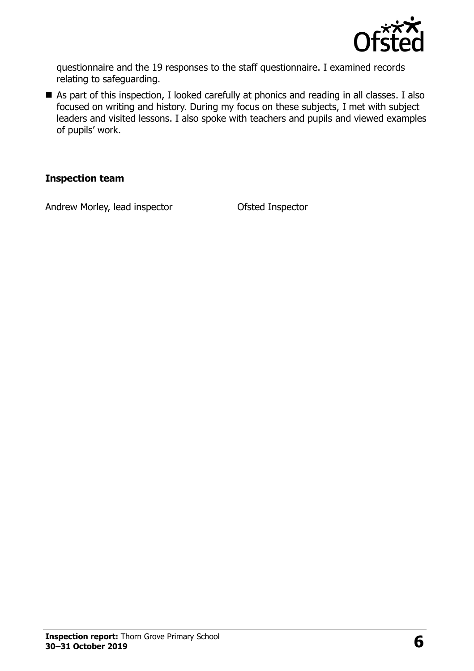

questionnaire and the 19 responses to the staff questionnaire. I examined records relating to safeguarding.

As part of this inspection, I looked carefully at phonics and reading in all classes. I also focused on writing and history. During my focus on these subjects, I met with subject leaders and visited lessons. I also spoke with teachers and pupils and viewed examples of pupils' work.

#### **Inspection team**

Andrew Morley, lead inspector **Ofsted Inspector**